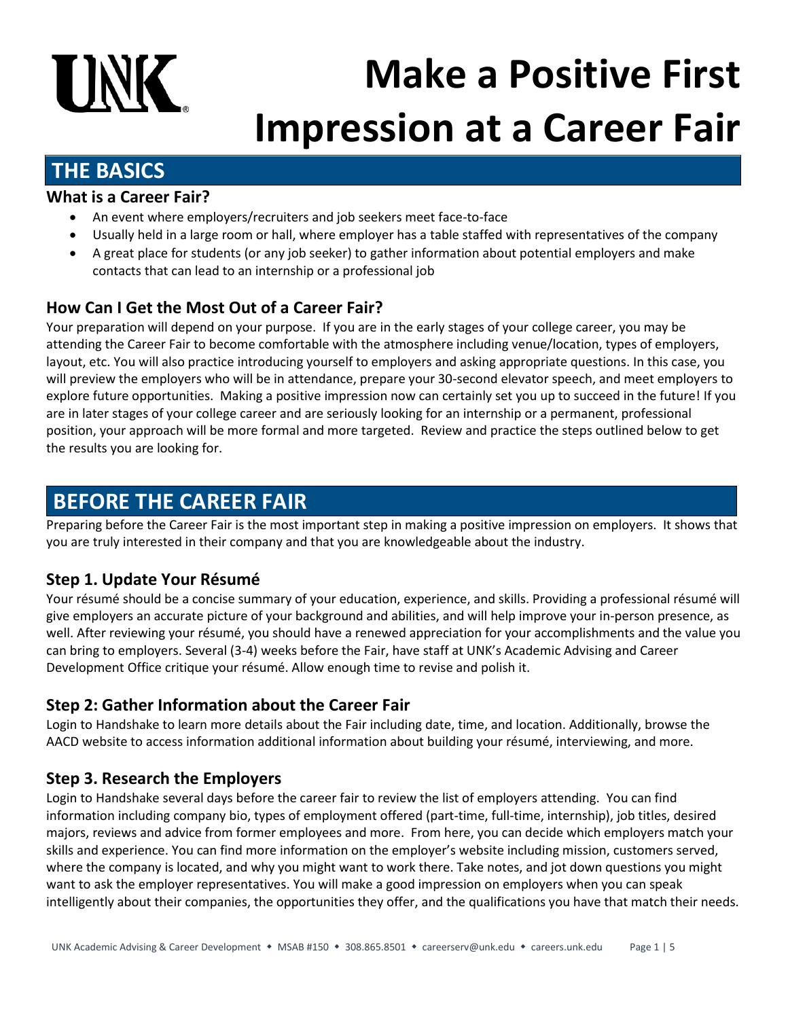# **UNK Make a Positive First Impression at a Career Fair**

# **THE BASICS**

### **What is a Career Fair?**

- An event where employers/recruiters and job seekers meet face-to-face
- Usually held in a large room or hall, where employer has a table staffed with representatives of the company
- A great place for students (or any job seeker) to gather information about potential employers and make contacts that can lead to an internship or a professional job

# **How Can I Get the Most Out of a Career Fair?**

Your preparation will depend on your purpose. If you are in the early stages of your college career, you may be attending the Career Fair to become comfortable with the atmosphere including venue/location, types of employers, layout, etc. You will also practice introducing yourself to employers and asking appropriate questions. In this case, you will preview the employers who will be in attendance, prepare your 30-second elevator speech, and meet employers to explore future opportunities. Making a positive impression now can certainly set you up to succeed in the future! If you are in later stages of your college career and are seriously looking for an internship or a permanent, professional position, your approach will be more formal and more targeted. Review and practice the steps outlined below to get the results you are looking for.

# **BEFORE THE CAREER FAIR**

Preparing before the Career Fair is the most important step in making a positive impression on employers. It shows that you are truly interested in their company and that you are knowledgeable about the industry.

# **Step 1. Update Your Résumé**

Your résumé should be a concise summary of your education, experience, and skills. Providing a professional résumé will give employers an accurate picture of your background and abilities, and will help improve your in-person presence, as well. After reviewing your résumé, you should have a renewed appreciation for your accomplishments and the value you can bring to employers. Several (3-4) weeks before the Fair, have staff at UNK's Academic Advising and Career Development Office critique your résumé. Allow enough time to revise and polish it.

# **Step 2: Gather Information about the Career Fair**

Login to Handshake to learn more details about the Fair including date, time, and location. Additionally, browse the AACD website to access information additional information about building your résumé, interviewing, and more.

# **Step 3. Research the Employers**

Login to Handshake several days before the career fair to review the list of employers attending. You can find information including company bio, types of employment offered (part-time, full-time, internship), job titles, desired majors, reviews and advice from former employees and more. From here, you can decide which employers match your skills and experience. You can find more information on the employer's website including mission, customers served, where the company is located, and why you might want to work there. Take notes, and jot down questions you might want to ask the employer representatives. You will make a good impression on employers when you can speak intelligently about their companies, the opportunities they offer, and the qualifications you have that match their needs.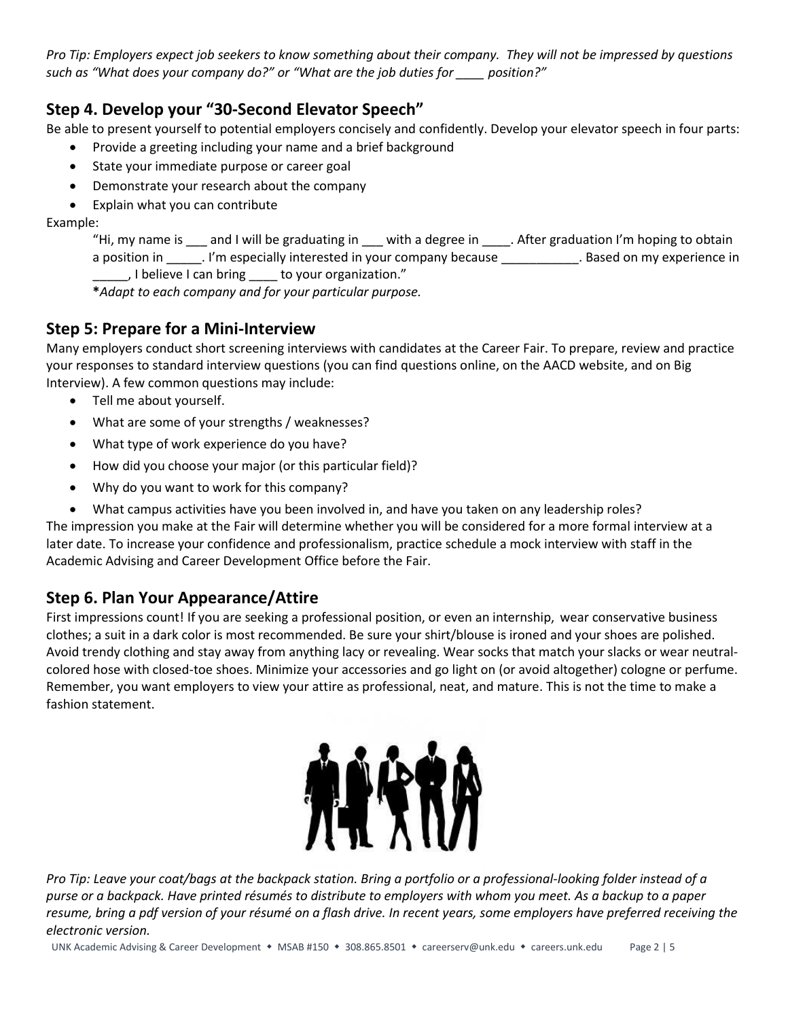*Pro Tip: Employers expect job seekers to know something about their company. They will not be impressed by questions such as "What does your company do?" or "What are the job duties for \_\_\_\_ position?"*

### **Step 4. Develop your "30-Second Elevator Speech"**

Be able to present yourself to potential employers concisely and confidently. Develop your elevator speech in four parts:

- Provide a greeting including your name and a brief background
- State your immediate purpose or career goal
- Demonstrate your research about the company
- Explain what you can contribute

Example:

"Hi, my name is eand I will be graduating in earch with a degree in early after graduation I'm hoping to obtain a position in \_\_\_\_\_\_. I'm especially interested in your company because \_\_\_\_\_\_\_\_\_\_\_\_. Based on my experience in \_\_\_\_\_, I believe I can bring \_\_\_\_ to your organization."

**\****Adapt to each company and for your particular purpose.*

### **Step 5: Prepare for a Mini-Interview**

Many employers conduct short screening interviews with candidates at the Career Fair. To prepare, review and practice your responses to standard interview questions (you can find questions online, on the AACD website, and on Big Interview). A few common questions may include:

- Tell me about yourself.
- What are some of your strengths / weaknesses?
- What type of work experience do you have?
- How did you choose your major (or this particular field)?
- Why do you want to work for this company?
- What campus activities have you been involved in, and have you taken on any leadership roles?

The impression you make at the Fair will determine whether you will be considered for a more formal interview at a later date. To increase your confidence and professionalism, practice schedule a mock interview with staff in the Academic Advising and Career Development Office before the Fair.

# **Step 6. Plan Your Appearance/Attire**

First impressions count! If you are seeking a professional position, or even an internship, wear conservative business clothes; a suit in a dark color is most recommended. Be sure your shirt/blouse is ironed and your shoes are polished. Avoid trendy clothing and stay away from anything lacy or revealing. Wear socks that match your slacks or wear neutralcolored hose with closed-toe shoes. Minimize your accessories and go light on (or avoid altogether) cologne or perfume. Remember, you want employers to view your attire as professional, neat, and mature. This is not the time to make a fashion statement.



*Pro Tip: Leave your coat/bags at the backpack station. Bring a portfolio or a professional-looking folder instead of a purse or a backpack. Have printed résumés to distribute to employers with whom you meet. As a backup to a paper resume, bring a pdf version of your résumé on a flash drive. In recent years, some employers have preferred receiving the electronic version.*

UNK Academic Advising & Career Development • MSAB #150 • 308.865.8501 • careerserv@unk.edu • careers.unk.edu Page 2 | 5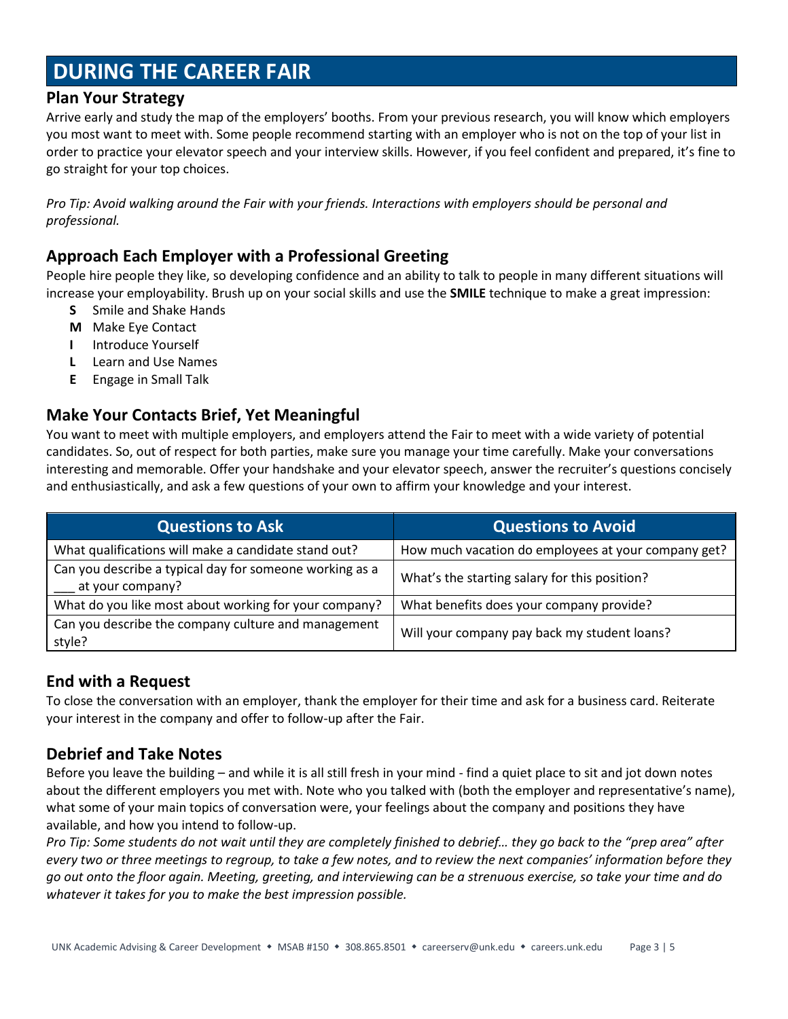# **DURING THE CAREER FAIR**

#### **Plan Your Strategy**

Arrive early and study the map of the employers' booths. From your previous research, you will know which employers you most want to meet with. Some people recommend starting with an employer who is not on the top of your list in order to practice your elevator speech and your interview skills. However, if you feel confident and prepared, it's fine to go straight for your top choices.

*Pro Tip: Avoid walking around the Fair with your friends. Interactions with employers should be personal and professional.*

### **Approach Each Employer with a Professional Greeting**

People hire people they like, so developing confidence and an ability to talk to people in many different situations will increase your employability. Brush up on your social skills and use the **SMILE** technique to make a great impression:

- **S** Smile and Shake Hands
- **M** Make Eye Contact
- **I** Introduce Yourself
- **L** Learn and Use Names
- **E** Engage in Small Talk

#### **Make Your Contacts Brief, Yet Meaningful**

You want to meet with multiple employers, and employers attend the Fair to meet with a wide variety of potential candidates. So, out of respect for both parties, make sure you manage your time carefully. Make your conversations interesting and memorable. Offer your handshake and your elevator speech, answer the recruiter's questions concisely and enthusiastically, and ask a few questions of your own to affirm your knowledge and your interest.

| <b>Questions to Ask</b>                                                     | <b>Questions to Avoid</b>                           |
|-----------------------------------------------------------------------------|-----------------------------------------------------|
| What qualifications will make a candidate stand out?                        | How much vacation do employees at your company get? |
| Can you describe a typical day for someone working as a<br>at your company? | What's the starting salary for this position?       |
| What do you like most about working for your company?                       | What benefits does your company provide?            |
| Can you describe the company culture and management<br>style?               | Will your company pay back my student loans?        |

#### **End with a Request**

To close the conversation with an employer, thank the employer for their time and ask for a business card. Reiterate your interest in the company and offer to follow-up after the Fair.

### **Debrief and Take Notes**

Before you leave the building – and while it is all still fresh in your mind - find a quiet place to sit and jot down notes about the different employers you met with. Note who you talked with (both the employer and representative's name), what some of your main topics of conversation were, your feelings about the company and positions they have available, and how you intend to follow-up.

*Pro Tip: Some students do not wait until they are completely finished to debrief… they go back to the "prep area" after every two or three meetings to regroup, to take a few notes, and to review the next companies' information before they go out onto the floor again. Meeting, greeting, and interviewing can be a strenuous exercise, so take your time and do whatever it takes for you to make the best impression possible.*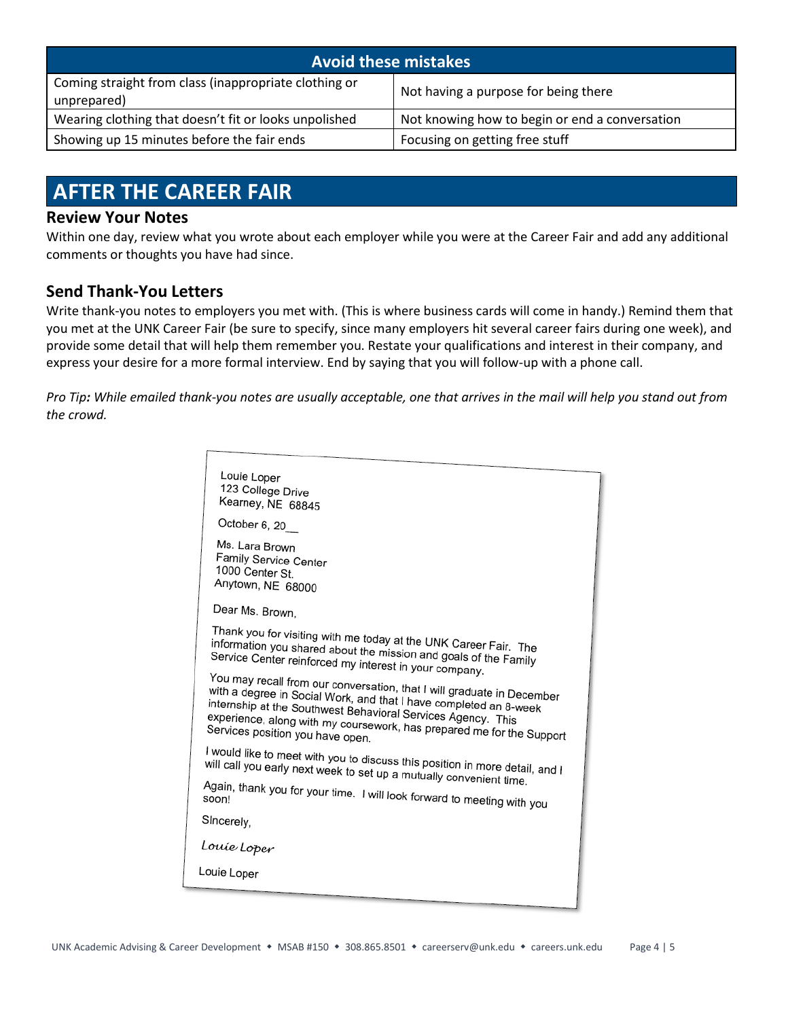| <b>Avoid these mistakes</b>                                          |                                                |  |
|----------------------------------------------------------------------|------------------------------------------------|--|
| Coming straight from class (inappropriate clothing or<br>unprepared) | Not having a purpose for being there           |  |
| Wearing clothing that doesn't fit or looks unpolished                | Not knowing how to begin or end a conversation |  |
| Showing up 15 minutes before the fair ends                           | Focusing on getting free stuff                 |  |

# **AFTER THE CAREER FAIR**

#### **Review Your Notes**

Within one day, review what you wrote about each employer while you were at the Career Fair and add any additional comments or thoughts you have had since.

### **Send Thank-You Letters**

Write thank-you notes to employers you met with. (This is where business cards will come in handy.) Remind them that you met at the UNK Career Fair (be sure to specify, since many employers hit several career fairs during one week), and provide some detail that will help them remember you. Restate your qualifications and interest in their company, and express your desire for a more formal interview. End by saying that you will follow-up with a phone call.

*Pro Tip: While emailed thank-you notes are usually acceptable, one that arrives in the mail will help you stand out from the crowd.* 

| Louie Loper<br>123 College Drive<br>Kearney, NE 68845                                                                                                                                                                                                                                                                    |  |  |
|--------------------------------------------------------------------------------------------------------------------------------------------------------------------------------------------------------------------------------------------------------------------------------------------------------------------------|--|--|
| October 6, 20                                                                                                                                                                                                                                                                                                            |  |  |
| Ms. Lara Brown<br>Family Service Center<br>1000 Center St.<br>Anytown, NE 68000                                                                                                                                                                                                                                          |  |  |
| Dear Ms. Brown,                                                                                                                                                                                                                                                                                                          |  |  |
| Thank you for visiting with me today at the UNK Career Fair. The<br>information you shared about the mission and goals of the Family<br>Service Center reinforced my interest in your company.                                                                                                                           |  |  |
| You may recall from our conversation, that I will graduate in December<br>with a degree in Social Work, and that I have completed an 8-week<br>internship at the Southwest Behavioral Services Agency. This<br>experience, along with my coursework, has prepared me for the Support<br>Services position you have open. |  |  |
| I would like to meet with you to discuss this position in more detail, and I<br>will call you early next week to set up a mutually convenient time.                                                                                                                                                                      |  |  |
| Again, thank you for your time. I will look forward to meeting with you                                                                                                                                                                                                                                                  |  |  |
| SIncerely,                                                                                                                                                                                                                                                                                                               |  |  |
| Louie Loper                                                                                                                                                                                                                                                                                                              |  |  |
| Louie Loper                                                                                                                                                                                                                                                                                                              |  |  |
|                                                                                                                                                                                                                                                                                                                          |  |  |